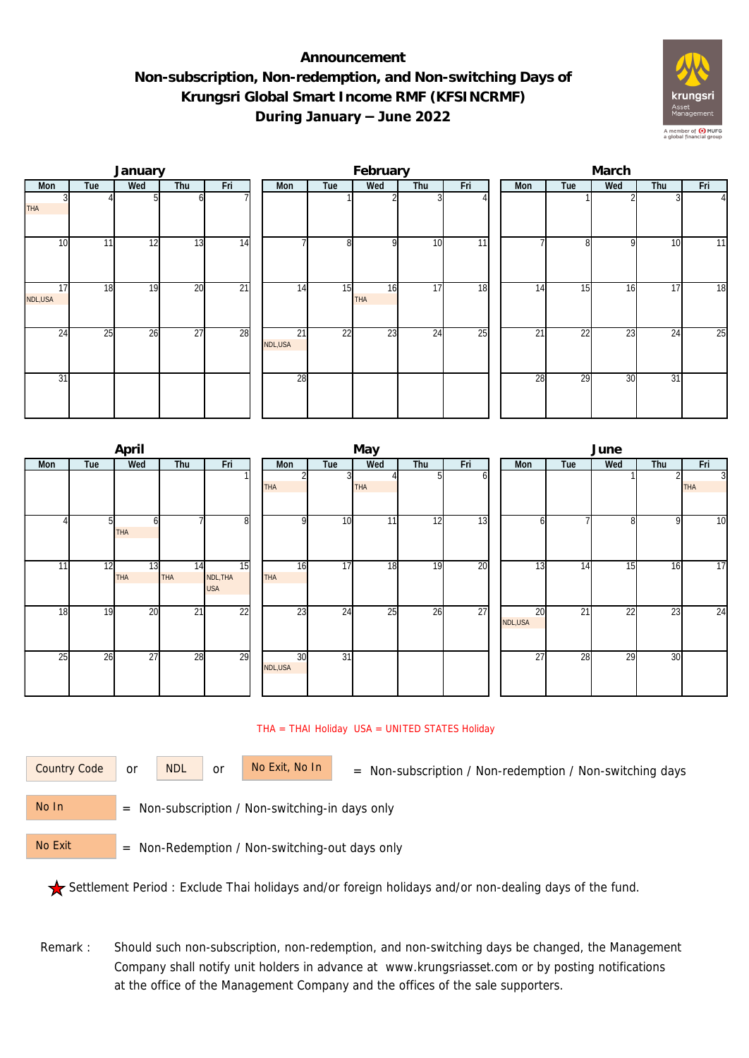## **Announcement Non-subscription, Non-redemption, and Non-switching Days of Krungsri Global Smart Income RMF (KFSINCRMF) During January – June 2022**



|                 |     | January |                 |                 | February                    |                |                  |     |                 |  | March           |                 |     |     |                |  |  |
|-----------------|-----|---------|-----------------|-----------------|-----------------------------|----------------|------------------|-----|-----------------|--|-----------------|-----------------|-----|-----|----------------|--|--|
| Mon             | Tue | Wed     | Thu             | Fri             | Mon                         | Tue            | Wed              | Thu | Fri             |  | Mon             | Tue             | Wed | Thu | Fri            |  |  |
| THA             |     |         |                 |                 |                             |                |                  |     |                 |  |                 |                 |     |     | $\overline{4}$ |  |  |
| 10 <sup>1</sup> | 11  | 12      | $1\overline{3}$ | 14              |                             | 8 <sup>1</sup> | οI               | 10  | 11              |  |                 | 8               | 9   | 10  | 11             |  |  |
| 17<br>NDL,USA   | 18  | 19      | $\overline{20}$ | $\overline{21}$ | 14                          | 15             | 16<br><b>THA</b> | 17  | 18              |  | 14              | 15              | 16  | 17  | 18             |  |  |
| 24              | 25  | 26      | $\overline{27}$ | 28              | $\overline{21}$<br>NDL, USA | 22             | 23               | 24  | $\overline{25}$ |  | $\overline{21}$ | $\overline{22}$ | 23  | 24  | 25             |  |  |
| 31              |     |         |                 |                 | 28                          |                |                  |     |                 |  | 28              | 29              | 30  | 31  |                |  |  |

|     |                | April            |                  |                              |               |                 | May        |     |     | June          |     |                 |                 |                              |  |  |
|-----|----------------|------------------|------------------|------------------------------|---------------|-----------------|------------|-----|-----|---------------|-----|-----------------|-----------------|------------------------------|--|--|
| Mon | Tue            | Wed              | Thu              | Fri                          | Mon           | Tue             | Wed        | Thu | Fri | Mon           | Tue | Wed             | Thu             | Fri                          |  |  |
|     |                |                  |                  |                              | <b>THA</b>    | 31              | <b>THA</b> | 51  | οı  |               |     |                 |                 | $\overline{3}$<br><b>THA</b> |  |  |
|     | 5 <sub>l</sub> | h<br>THA         |                  | 8                            |               | 10              | 11         | 12  | 13  | h             |     | 8               | 9               | 10                           |  |  |
| 11  | 12             | 13<br><b>THA</b> | 14<br><b>THA</b> | 15<br>NDL, THA<br><b>USA</b> | 16<br>THA     | 17              | 18         | 19  | 20  | 13            | 14  | 15              | 16              | 17                           |  |  |
| 18  | 19             | 20               | 21               | 22                           | 23            | 24              | 25         | 26  | 27  | 20<br>NDL,USA | 21  | $\overline{22}$ | $\overline{23}$ | $\overline{24}$              |  |  |
| 25  | 26             | $\overline{27}$  | 28               | 29                           | 30<br>NDL,USA | $\overline{31}$ |            |     |     | 27            | 28  | 29              | 30              |                              |  |  |

## THA = THAI Holiday USA = UNITED STATES Holiday

or NDL or

Country Code or NDL or No Exit, No In = Non-subscription / Non-redemption / Non-switching days

 = Non-subscription / Non-switching-in days only No In

 = Non-Redemption / Non-switching-out days only No Exit

Settlement Period : Exclude Thai holidays and/or foreign holidays and/or non-dealing days of the fund.

Remark : Should such non-subscription, non-redemption, and non-switching days be changed, the Management Company shall notify unit holders in advance at www.krungsriasset.com or by posting notifications at the office of the Management Company and the offices of the sale supporters.